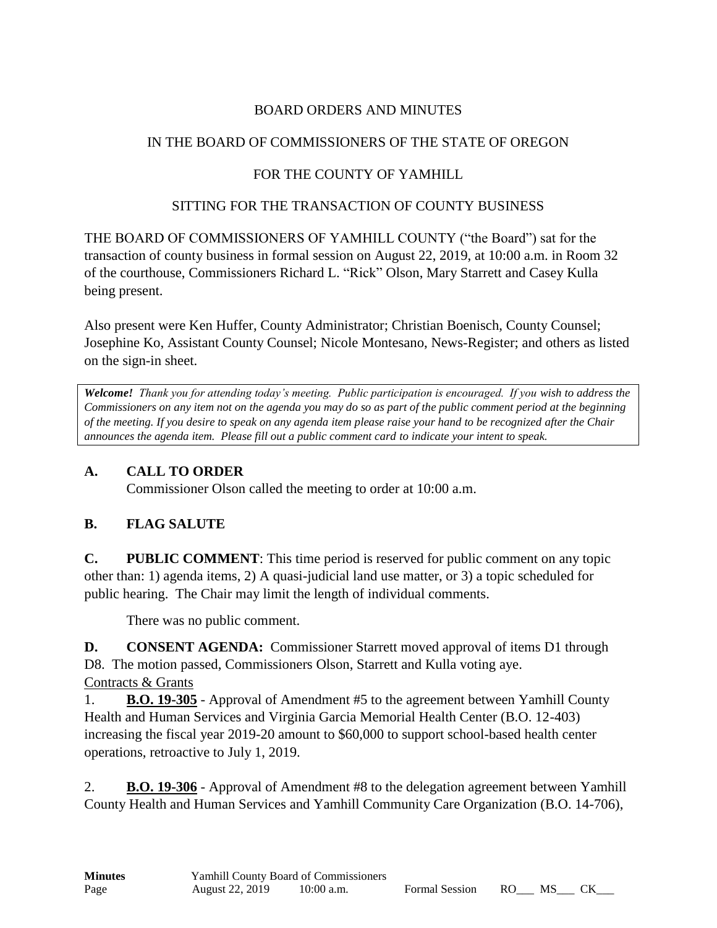### BOARD ORDERS AND MINUTES

### IN THE BOARD OF COMMISSIONERS OF THE STATE OF OREGON

# FOR THE COUNTY OF YAMHILL

### SITTING FOR THE TRANSACTION OF COUNTY BUSINESS

THE BOARD OF COMMISSIONERS OF YAMHILL COUNTY ("the Board") sat for the transaction of county business in formal session on August 22, 2019, at 10:00 a.m. in Room 32 of the courthouse, Commissioners Richard L. "Rick" Olson, Mary Starrett and Casey Kulla being present.

Also present were Ken Huffer, County Administrator; Christian Boenisch, County Counsel; Josephine Ko, Assistant County Counsel; Nicole Montesano, News-Register; and others as listed on the sign-in sheet.

*Welcome! Thank you for attending today's meeting. Public participation is encouraged. If you wish to address the Commissioners on any item not on the agenda you may do so as part of the public comment period at the beginning of the meeting. If you desire to speak on any agenda item please raise your hand to be recognized after the Chair announces the agenda item. Please fill out a public comment card to indicate your intent to speak.*

### **A. CALL TO ORDER**

Commissioner Olson called the meeting to order at 10:00 a.m.

# **B. FLAG SALUTE**

**C. PUBLIC COMMENT**: This time period is reserved for public comment on any topic other than: 1) agenda items, 2) A quasi-judicial land use matter, or 3) a topic scheduled for public hearing. The Chair may limit the length of individual comments.

There was no public comment.

**D. CONSENT AGENDA:** Commissioner Starrett moved approval of items D1 through D8. The motion passed, Commissioners Olson, Starrett and Kulla voting aye.

Contracts & Grants

1. **B.O. 19-305** - Approval of Amendment #5 to the agreement between Yamhill County Health and Human Services and Virginia Garcia Memorial Health Center (B.O. 12-403) increasing the fiscal year 2019-20 amount to \$60,000 to support school-based health center operations, retroactive to July 1, 2019.

2. **B.O. 19-306** - Approval of Amendment #8 to the delegation agreement between Yamhill County Health and Human Services and Yamhill Community Care Organization (B.O. 14-706),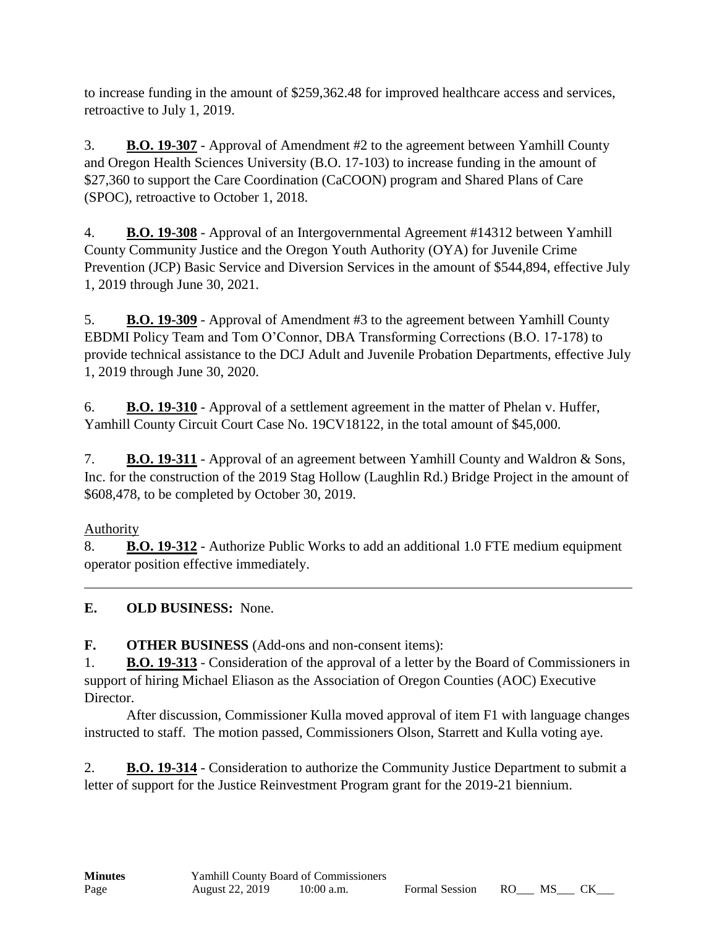to increase funding in the amount of \$259,362.48 for improved healthcare access and services, retroactive to July 1, 2019.

3. **B.O. 19-307** - Approval of Amendment #2 to the agreement between Yamhill County and Oregon Health Sciences University (B.O. 17-103) to increase funding in the amount of \$27,360 to support the Care Coordination (CaCOON) program and Shared Plans of Care (SPOC), retroactive to October 1, 2018.

4. **B.O. 19-308** - Approval of an Intergovernmental Agreement #14312 between Yamhill County Community Justice and the Oregon Youth Authority (OYA) for Juvenile Crime Prevention (JCP) Basic Service and Diversion Services in the amount of \$544,894, effective July 1, 2019 through June 30, 2021.

5. **B.O. 19-309** - Approval of Amendment #3 to the agreement between Yamhill County EBDMI Policy Team and Tom O'Connor, DBA Transforming Corrections (B.O. 17-178) to provide technical assistance to the DCJ Adult and Juvenile Probation Departments, effective July 1, 2019 through June 30, 2020.

6. **B.O. 19-310** - Approval of a settlement agreement in the matter of Phelan v. Huffer, Yamhill County Circuit Court Case No. 19CV18122, in the total amount of \$45,000.

7. **B.O. 19-311** - Approval of an agreement between Yamhill County and Waldron & Sons, Inc. for the construction of the 2019 Stag Hollow (Laughlin Rd.) Bridge Project in the amount of \$608,478, to be completed by October 30, 2019.

# Authority

8. **B.O. 19-312** - Authorize Public Works to add an additional 1.0 FTE medium equipment operator position effective immediately.

**E. OLD BUSINESS:** None.

**F. OTHER BUSINESS** (Add-ons and non-consent items):

1. **B.O. 19-313** - Consideration of the approval of a letter by the Board of Commissioners in support of hiring Michael Eliason as the Association of Oregon Counties (AOC) Executive Director.

After discussion, Commissioner Kulla moved approval of item F1 with language changes instructed to staff. The motion passed, Commissioners Olson, Starrett and Kulla voting aye.

2. **B.O. 19-314** - Consideration to authorize the Community Justice Department to submit a letter of support for the Justice Reinvestment Program grant for the 2019-21 biennium.